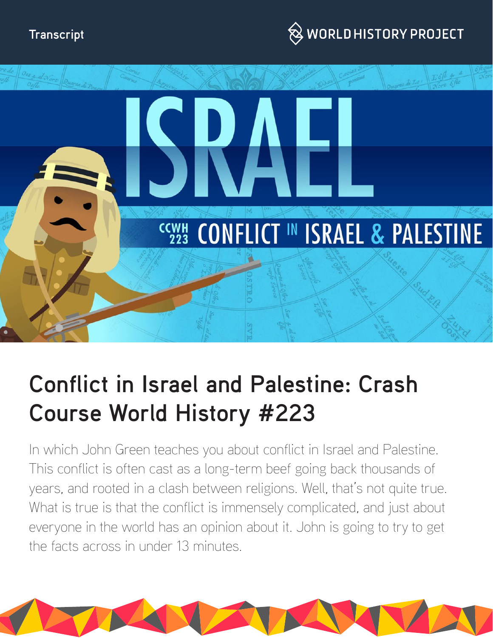



# **Conflict in Israel and Palestine: Crash Course World History #223**

In which John Green teaches you about conflict in Israel and Palestine. This conflict is often cast as a long-term beef going back thousands of years, and rooted in a clash between religions. Well, that's not quite true. What is true is that the conflict is immensely complicated, and just about everyone in the world has an opinion about it. John is going to try to get the facts across in under 13 minutes.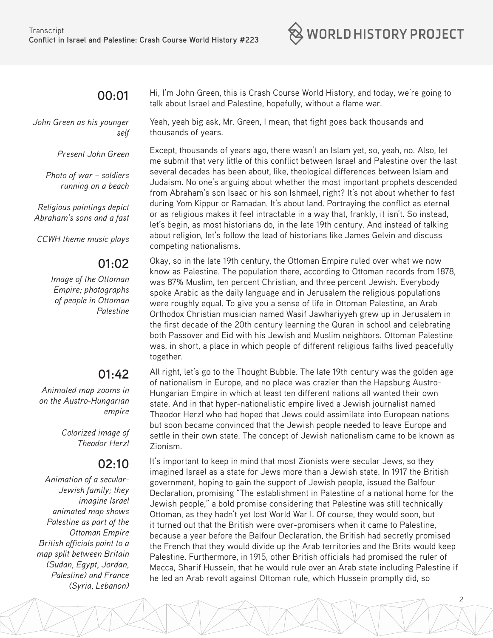

#### **00:01**

*John Green as his younger self*

*Present John Green*

*Photo of war – soldiers running on a beach*

*Religious paintings depict Abraham's sons and a fast*

*CCWH theme music plays*

#### **01:02**

*Image of the Ottoman Empire; photographs of people in Ottoman Palestine*

# **01:42**

*Animated map zooms in on the Austro-Hungarian empire*

> *Colorized image of Theodor Herzl*

## **02:10**

*Animation of a secular-Jewish family; they imagine Israel animated map shows Palestine as part of the Ottoman Empire British officials point to a map split between Britain (Sudan, Egypt, Jordan, Palestine) and France (Syria, Lebanon)*

Hi, I'm John Green, this is Crash Course World History, and today, we're going to talk about Israel and Palestine, hopefully, without a flame war.

Yeah, yeah big ask, Mr. Green, I mean, that fight goes back thousands and thousands of years.

Except, thousands of years ago, there wasn't an Islam yet, so, yeah, no. Also, let me submit that very little of this conflict between Israel and Palestine over the last several decades has been about, like, theological differences between Islam and Judaism. No one's arguing about whether the most important prophets descended from Abraham's son Isaac or his son Ishmael, right? It's not about whether to fast during Yom Kippur or Ramadan. It's about land. Portraying the conflict as eternal or as religious makes it feel intractable in a way that, frankly, it isn't. So instead, let's begin, as most historians do, in the late 19th century. And instead of talking about religion, let's follow the lead of historians like James Gelvin and discuss competing nationalisms.

Okay, so in the late 19th century, the Ottoman Empire ruled over what we now know as Palestine. The population there, according to Ottoman records from 1878, was 87% Muslim, ten percent Christian, and three percent Jewish. Everybody spoke Arabic as the daily language and in Jerusalem the religious populations were roughly equal. To give you a sense of life in Ottoman Palestine, an Arab Orthodox Christian musician named Wasif Jawhariyyeh grew up in Jerusalem in the first decade of the 20th century learning the Quran in school and celebrating both Passover and Eid with his Jewish and Muslim neighbors. Ottoman Palestine was, in short, a place in which people of different religious faiths lived peacefully together.

All right, let's go to the Thought Bubble. The late 19th century was the golden age of nationalism in Europe, and no place was crazier than the Hapsburg Austro-Hungarian Empire in which at least ten different nations all wanted their own state. And in that hyper-nationalistic empire lived a Jewish journalist named Theodor Herzl who had hoped that Jews could assimilate into European nations but soon became convinced that the Jewish people needed to leave Europe and settle in their own state. The concept of Jewish nationalism came to be known as Zionism.

It's important to keep in mind that most Zionists were secular Jews, so they imagined Israel as a state for Jews more than a Jewish state. In 1917 the British government, hoping to gain the support of Jewish people, issued the Balfour Declaration, promising "The establishment in Palestine of a national home for the Jewish people," a bold promise considering that Palestine was still technically Ottoman, as they hadn't yet lost World War I. Of course, they would soon, but it turned out that the British were over-promisers when it came to Palestine, because a year before the Balfour Declaration, the British had secretly promised the French that they would divide up the Arab territories and the Brits would keep Palestine. Furthermore, in 1915, other British officials had promised the ruler of Mecca, Sharif Hussein, that he would rule over an Arab state including Palestine if he led an Arab revolt against Ottoman rule, which Hussein promptly did, so

2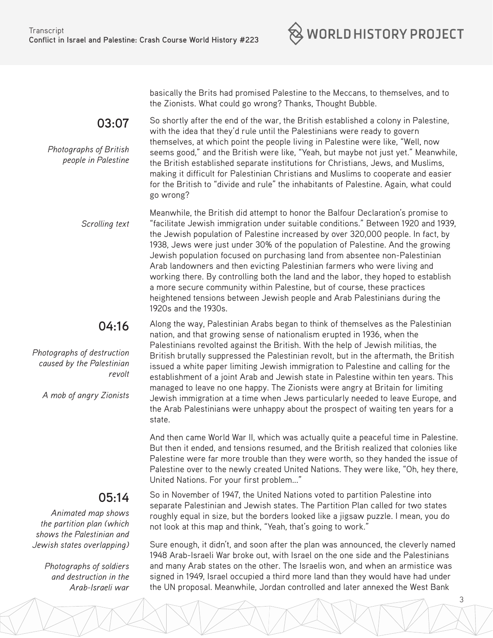

**03:07** 

*Photographs of British people in Palestine* basically the Brits had promised Palestine to the Meccans, to themselves, and to the Zionists. What could go wrong? Thanks, Thought Bubble.

So shortly after the end of the war, the British established a colony in Palestine, with the idea that they'd rule until the Palestinians were ready to govern themselves, at which point the people living in Palestine were like, "Well, now seems good," and the British were like, "Yeah, but maybe not just yet." Meanwhile, the British established separate institutions for Christians, Jews, and Muslims, making it difficult for Palestinian Christians and Muslims to cooperate and easier for the British to "divide and rule" the inhabitants of Palestine. Again, what could go wrong?

*Scrolling text* Meanwhile, the British did attempt to honor the Balfour Declaration's promise to "facilitate Jewish immigration under suitable conditions." Between 1920 and 1939, the Jewish population of Palestine increased by over 320,000 people. In fact, by 1938, Jews were just under 30% of the population of Palestine. And the growing Jewish population focused on purchasing land from absentee non-Palestinian Arab landowners and then evicting Palestinian farmers who were living and working there. By controlling both the land and the labor, they hoped to establish a more secure community within Palestine, but of course, these practices heightened tensions between Jewish people and Arab Palestinians during the 1920s and the 1930s.

#### **04:16**

*Photographs of destruction caused by the Palestinian revolt*

*A mob of angry Zionists*

## **05:14**

*Animated map shows the partition plan (which shows the Palestinian and Jewish states overlapping)*

> *Photographs of soldiers and destruction in the Arab-Israeli war*

Along the way, Palestinian Arabs began to think of themselves as the Palestinian nation, and that growing sense of nationalism erupted in 1936, when the Palestinians revolted against the British. With the help of Jewish militias, the British brutally suppressed the Palestinian revolt, but in the aftermath, the British issued a white paper limiting Jewish immigration to Palestine and calling for the establishment of a joint Arab and Jewish state in Palestine within ten years. This managed to leave no one happy. The Zionists were angry at Britain for limiting Jewish immigration at a time when Jews particularly needed to leave Europe, and the Arab Palestinians were unhappy about the prospect of waiting ten years for a state.

And then came World War II, which was actually quite a peaceful time in Palestine. But then it ended, and tensions resumed, and the British realized that colonies like Palestine were far more trouble than they were worth, so they handed the issue of Palestine over to the newly created United Nations. They were like, "Oh, hey there, United Nations. For your first problem..."

So in November of 1947, the United Nations voted to partition Palestine into separate Palestinian and Jewish states. The Partition Plan called for two states roughly equal in size, but the borders looked like a jigsaw puzzle. I mean, you do not look at this map and think, "Yeah, that's going to work."

Sure enough, it didn't, and soon after the plan was announced, the cleverly named 1948 Arab-Israeli War broke out, with Israel on the one side and the Palestinians and many Arab states on the other. The Israelis won, and when an armistice was signed in 1949, Israel occupied a third more land than they would have had under the UN proposal. Meanwhile, Jordan controlled and later annexed the West Bank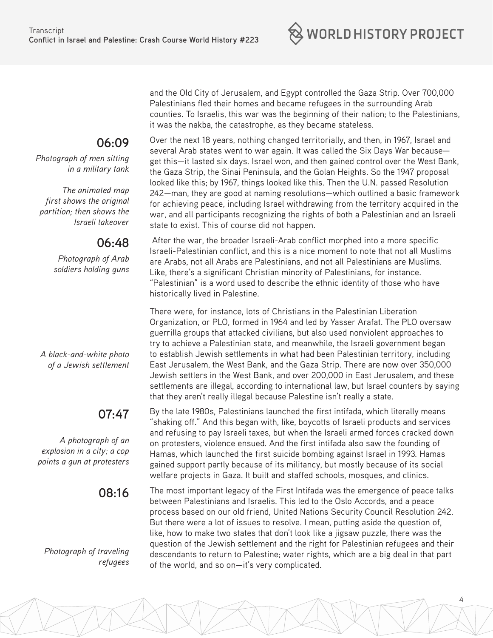

**06:09** 

*Photograph of men sitting in a military tank*

*The animated map first shows the original partition; then shows the Israeli takeover* 

## **06:48**

*Photograph of Arab soldiers holding guns*

*A black-and-white photo of a Jewish settlement*

# **07:47**

*A photograph of an explosion in a city; a cop points a gun at protesters*

**08:16**

*Photograph of traveling refugees*  and the Old City of Jerusalem, and Egypt controlled the Gaza Strip. Over 700,000 Palestinians fled their homes and became refugees in the surrounding Arab counties. To Israelis, this war was the beginning of their nation; to the Palestinians, it was the nakba, the catastrophe, as they became stateless.

Over the next 18 years, nothing changed territorially, and then, in 1967, Israel and several Arab states went to war again. It was called the Six Days War because get this—it lasted six days. Israel won, and then gained control over the West Bank, the Gaza Strip, the Sinai Peninsula, and the Golan Heights. So the 1947 proposal looked like this; by 1967, things looked like this. Then the U.N. passed Resolution 242—man, they are good at naming resolutions—which outlined a basic framework for achieving peace, including Israel withdrawing from the territory acquired in the war, and all participants recognizing the rights of both a Palestinian and an Israeli state to exist. This of course did not happen.

 After the war, the broader Israeli-Arab conflict morphed into a more specific Israeli-Palestinian conflict, and this is a nice moment to note that not all Muslims are Arabs, not all Arabs are Palestinians, and not all Palestinians are Muslims. Like, there's a significant Christian minority of Palestinians, for instance. "Palestinian" is a word used to describe the ethnic identity of those who have historically lived in Palestine.

There were, for instance, lots of Christians in the Palestinian Liberation Organization, or PLO, formed in 1964 and led by Yasser Arafat. The PLO oversaw guerrilla groups that attacked civilians, but also used nonviolent approaches to try to achieve a Palestinian state, and meanwhile, the Israeli government began to establish Jewish settlements in what had been Palestinian territory, including East Jerusalem, the West Bank, and the Gaza Strip. There are now over 350,000 Jewish settlers in the West Bank, and over 200,000 in East Jerusalem, and these settlements are illegal, according to international law, but Israel counters by saying that they aren't really illegal because Palestine isn't really a state.

By the late 1980s, Palestinians launched the first intifada, which literally means "shaking off." And this began with, like, boycotts of Israeli products and services and refusing to pay Israeli taxes, but when the Israeli armed forces cracked down on protesters, violence ensued. And the first intifada also saw the founding of Hamas, which launched the first suicide bombing against Israel in 1993. Hamas gained support partly because of its militancy, but mostly because of its social welfare projects in Gaza. It built and staffed schools, mosques, and clinics.

The most important legacy of the First Intifada was the emergence of peace talks between Palestinians and Israelis. This led to the Oslo Accords, and a peace process based on our old friend, United Nations Security Council Resolution 242. But there were a lot of issues to resolve. I mean, putting aside the question of, like, how to make two states that don't look like a jigsaw puzzle, there was the question of the Jewish settlement and the right for Palestinian refugees and their descendants to return to Palestine; water rights, which are a big deal in that part of the world, and so on—it's very complicated.

4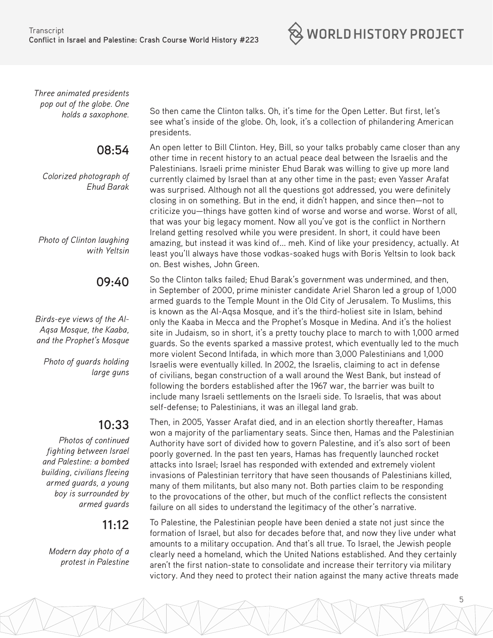$\otimes$  world history project

*Three animated presidents pop out of the globe. One* 

## **08:54**

*Colorized photograph of Ehud Barak*

*Photo of Clinton laughing with Yeltsin*

**09:40**

*Birds-eye views of the Al-Aqsa Mosque, the Kaaba, and the Prophet's Mosque*

*Photo of guards holding large guns*

# **10:33**

*Photos of continued fighting between Israel and Palestine: a bombed building, civilians fleeing armed guards, a young boy is surrounded by armed guards*

#### **11:12**

*Modern day photo of a protest in Palestine*

*holds a saxophone.* So then came the Clinton talks. Oh, it's time for the Open Letter. But first, let's see what's inside of the globe. Oh, look, it's a collection of philandering American presidents.

> An open letter to Bill Clinton. Hey, Bill, so your talks probably came closer than any other time in recent history to an actual peace deal between the Israelis and the Palestinians. Israeli prime minister Ehud Barak was willing to give up more land currently claimed by Israel than at any other time in the past; even Yasser Arafat was surprised. Although not all the questions got addressed, you were definitely closing in on something. But in the end, it didn't happen, and since then—not to criticize you—things have gotten kind of worse and worse and worse. Worst of all, that was your big legacy moment. Now all you've got is the conflict in Northern Ireland getting resolved while you were president. In short, it could have been amazing, but instead it was kind of... meh. Kind of like your presidency, actually. At least you'll always have those vodkas-soaked hugs with Boris Yeltsin to look back on. Best wishes, John Green.

> So the Clinton talks failed; Ehud Barak's government was undermined, and then, in September of 2000, prime minister candidate Ariel Sharon led a group of 1,000 armed guards to the Temple Mount in the Old City of Jerusalem. To Muslims, this is known as the Al-Aqsa Mosque, and it's the third-holiest site in Islam, behind only the Kaaba in Mecca and the Prophet's Mosque in Medina. And it's the holiest site in Judaism, so in short, it's a pretty touchy place to march to with 1,000 armed guards. So the events sparked a massive protest, which eventually led to the much more violent Second Intifada, in which more than 3,000 Palestinians and 1,000 Israelis were eventually killed. In 2002, the Israelis, claiming to act in defense of civilians, began construction of a wall around the West Bank, but instead of following the borders established after the 1967 war, the barrier was built to include many Israeli settlements on the Israeli side. To Israelis, that was about self-defense; to Palestinians, it was an illegal land grab.

Then, in 2005, Yasser Arafat died, and in an election shortly thereafter, Hamas won a majority of the parliamentary seats. Since then, Hamas and the Palestinian Authority have sort of divided how to govern Palestine, and it's also sort of been poorly governed. In the past ten years, Hamas has frequently launched rocket attacks into Israel; Israel has responded with extended and extremely violent invasions of Palestinian territory that have seen thousands of Palestinians killed, many of them militants, but also many not. Both parties claim to be responding to the provocations of the other, but much of the conflict reflects the consistent failure on all sides to understand the legitimacy of the other's narrative.

To Palestine, the Palestinian people have been denied a state not just since the formation of Israel, but also for decades before that, and now they live under what amounts to a military occupation. And that's all true. To Israel, the Jewish people clearly need a homeland, which the United Nations established. And they certainly aren't the first nation-state to consolidate and increase their territory via military victory. And they need to protect their nation against the many active threats made

5